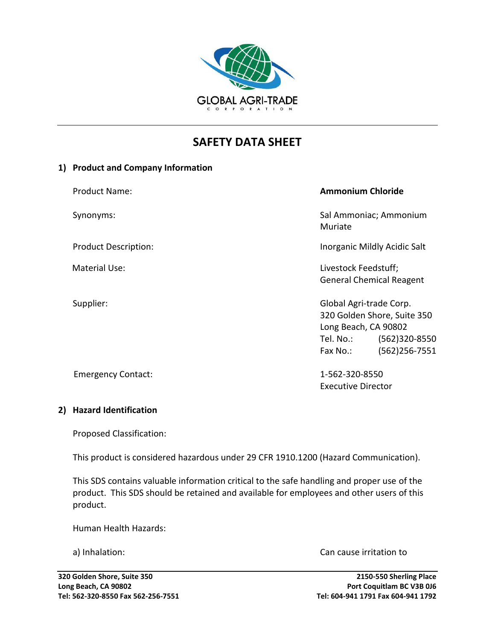

# **SAFETY DATA SHEET**

### **1) Product and Company Information**

| <b>Product Name:</b>        | <b>Ammonium Chloride</b>                                                                                                                      |
|-----------------------------|-----------------------------------------------------------------------------------------------------------------------------------------------|
| Synonyms:                   | Sal Ammoniac; Ammonium<br>Muriate                                                                                                             |
| <b>Product Description:</b> | Inorganic Mildly Acidic Salt                                                                                                                  |
| <b>Material Use:</b>        | Livestock Feedstuff;<br><b>General Chemical Reagent</b>                                                                                       |
| Supplier:                   | Global Agri-trade Corp.<br>320 Golden Shore, Suite 350<br>Long Beach, CA 90802<br>$(562)320 - 8550$<br>Tel. No.:<br>(562)256-7551<br>Fax No.: |

Emergency Contact: 1-562-320-8550

### **2) Hazard Identification**

Proposed Classification:

This product is considered hazardous under 29 CFR 1910.1200 (Hazard Communication).

This SDS contains valuable information critical to the safe handling and proper use of the product. This SDS should be retained and available for employees and other users of this product.

Human Health Hazards:

a) Inhalation: Can cause irritation to

Executive Director

**320 Golden Shore, Suite 350 2150-550 Sherling Place Long Beach, CA 90802 Port Coquitlam BC V3B 0J6 Tel: 562-320-8550 Fax 562-256-7551 Tel: 604-941 1791 Fax 604-941 1792**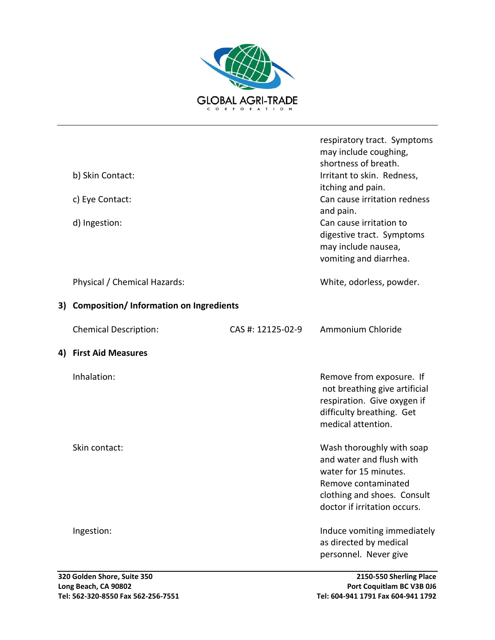

|    | b) Skin Contact:<br>c) Eye Contact:<br>d) Ingestion: |                   | respiratory tract. Symptoms<br>may include coughing,<br>shortness of breath.<br>Irritant to skin. Redness,<br>itching and pain.<br>Can cause irritation redness<br>and pain.<br>Can cause irritation to<br>digestive tract. Symptoms<br>may include nausea,<br>vomiting and diarrhea. |
|----|------------------------------------------------------|-------------------|---------------------------------------------------------------------------------------------------------------------------------------------------------------------------------------------------------------------------------------------------------------------------------------|
|    | Physical / Chemical Hazards:                         |                   | White, odorless, powder.                                                                                                                                                                                                                                                              |
| 3) | <b>Composition/Information on Ingredients</b>        |                   |                                                                                                                                                                                                                                                                                       |
|    | <b>Chemical Description:</b>                         | CAS #: 12125-02-9 | Ammonium Chloride                                                                                                                                                                                                                                                                     |
| 4) | <b>First Aid Measures</b>                            |                   |                                                                                                                                                                                                                                                                                       |
|    | Inhalation:                                          |                   | Remove from exposure. If<br>not breathing give artificial<br>respiration. Give oxygen if<br>difficulty breathing. Get<br>medical attention.                                                                                                                                           |
|    | Skin contact:                                        |                   | Wash thoroughly with soap<br>and water and flush with<br>water for 15 minutes.<br>Remove contaminated<br>clothing and shoes. Consult<br>doctor if irritation occurs.                                                                                                                  |
|    | Ingestion:                                           |                   | Induce vomiting immediately<br>as directed by medical<br>personnel. Never give                                                                                                                                                                                                        |
|    |                                                      |                   |                                                                                                                                                                                                                                                                                       |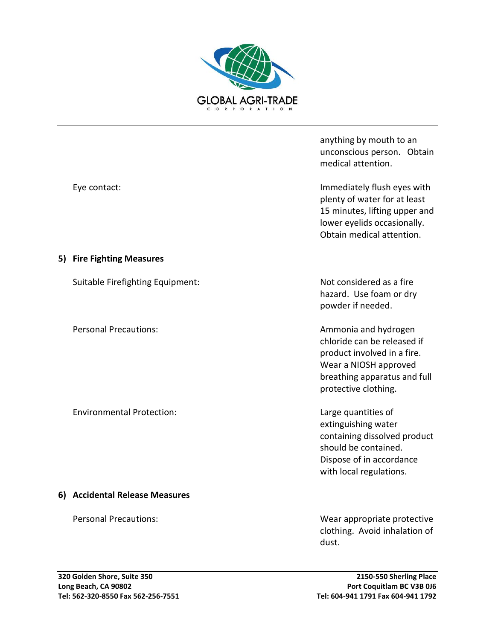

anything by mouth to an unconscious person. Obtain medical attention.

Eye contact: Immediately flush eyes with plenty of water for at least 15 minutes, lifting upper and lower eyelids occasionally. Obtain medical attention.

> hazard. Use foam or dry powder if needed.

Personal Precautions: and hydrogen and hydrogen chloride can be released if product involved in a fire. Wear a NIOSH approved breathing apparatus and full protective clothing.

> extinguishing water containing dissolved product should be contained. Dispose of in accordance with local regulations.

Personal Precautions: Wear appropriate protective clothing. Avoid inhalation of dust.

### **5) Fire Fighting Measures**

Suitable Firefighting Equipment: Not considered as a fire

Environmental Protection: Large quantities of

### **6) Accidental Release Measures**

**Long Beach, CA 90802 Port Coquitlam BC V3B 0J6 Tel: 562-320-8550 Fax 562-256-7551 Tel: 604-941 1791 Fax 604-941 1792**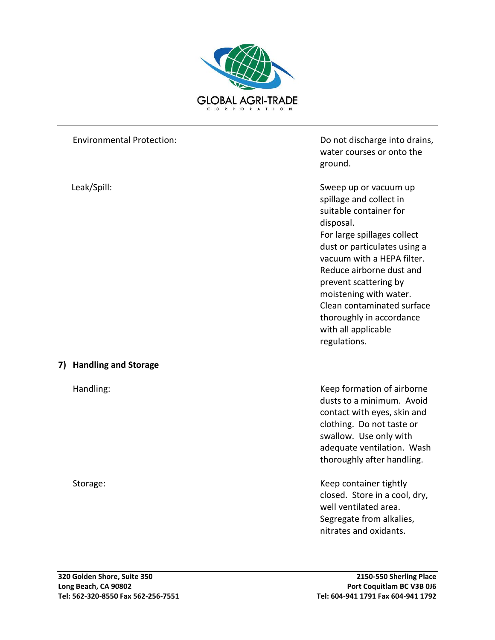

|    | <b>Environmental Protection:</b> | Do not discharge into drains,<br>water courses or onto the<br>ground.                                                                                                                                                                                                                                                                                                |
|----|----------------------------------|----------------------------------------------------------------------------------------------------------------------------------------------------------------------------------------------------------------------------------------------------------------------------------------------------------------------------------------------------------------------|
|    | Leak/Spill:                      | Sweep up or vacuum up<br>spillage and collect in<br>suitable container for<br>disposal.<br>For large spillages collect<br>dust or particulates using a<br>vacuum with a HEPA filter.<br>Reduce airborne dust and<br>prevent scattering by<br>moistening with water.<br>Clean contaminated surface<br>thoroughly in accordance<br>with all applicable<br>regulations. |
| 7) | <b>Handling and Storage</b>      |                                                                                                                                                                                                                                                                                                                                                                      |
|    | Handling:                        | Keep formation of airborne<br>dusts to a minimum. Avoid<br>contact with eyes, skin and<br>clothing. Do not taste or<br>swallow. Use only with<br>adequate ventilation. Wash<br>thoroughly after handling.                                                                                                                                                            |
|    | Storage:                         | Keep container tightly<br>closed. Store in a cool, dry,<br>well ventilated area.<br>Segregate from alkalies,<br>nitrates and oxidants.                                                                                                                                                                                                                               |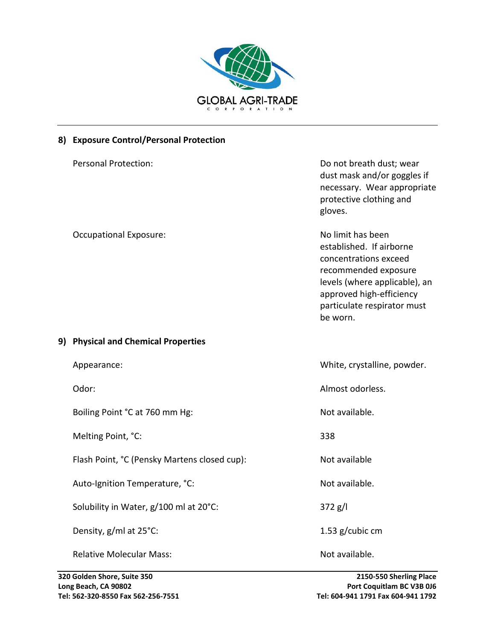

## **8) Exposure Control/Personal Protection**

| <b>Personal Protection:</b>                  | Do not breath dust; wear<br>dust mask and/or goggles if<br>necessary. Wear appropriate<br>protective clothing and<br>gloves.                                                                           |
|----------------------------------------------|--------------------------------------------------------------------------------------------------------------------------------------------------------------------------------------------------------|
| <b>Occupational Exposure:</b>                | No limit has been<br>established. If airborne<br>concentrations exceed<br>recommended exposure<br>levels (where applicable), an<br>approved high-efficiency<br>particulate respirator must<br>be worn. |
| 9) Physical and Chemical Properties          |                                                                                                                                                                                                        |
| Appearance:                                  | White, crystalline, powder.                                                                                                                                                                            |
| Odor:                                        | Almost odorless.                                                                                                                                                                                       |
| Boiling Point °C at 760 mm Hg:               | Not available.                                                                                                                                                                                         |
| Melting Point, °C:                           | 338                                                                                                                                                                                                    |
| Flash Point, °C (Pensky Martens closed cup): | Not available                                                                                                                                                                                          |
| Auto-Ignition Temperature, °C:               | Not available.                                                                                                                                                                                         |
| Solubility in Water, g/100 ml at 20°C:       | 372 g/l                                                                                                                                                                                                |
| Density, g/ml at 25°C:                       | 1.53 g/cubic cm                                                                                                                                                                                        |
| <b>Relative Molecular Mass:</b>              | Not available.                                                                                                                                                                                         |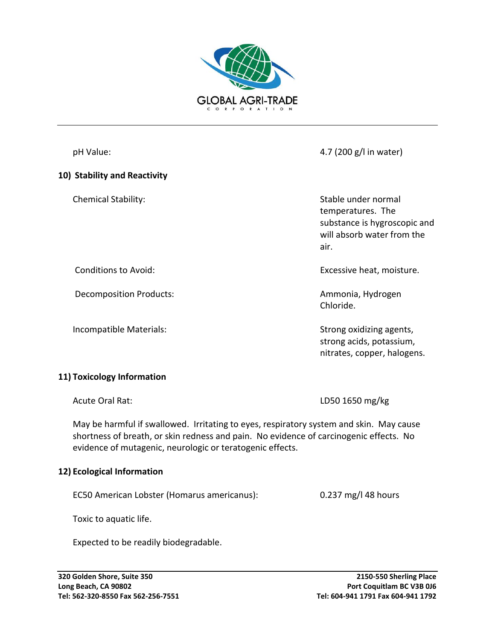

### **10) Stability and Reactivity**

pH Value: 4.7 (200 g/l in water)

Chemical Stability: Stable under normal temperatures. The substance is hygroscopic and will absorb water from the air.

Conditions to Avoid: Excessive heat, moisture.

Decomposition Products: and the accomposition Products: and the accomposition of the Ammonia, Hydrogen Chloride.

Incompatible Materials: The Strong oxidizing agents, strong acids, potassium, nitrates, copper, halogens.

## **11) Toxicology Information**

Acute Oral Rat: LD50 1650 mg/kg

May be harmful if swallowed. Irritating to eyes, respiratory system and skin. May cause shortness of breath, or skin redness and pain. No evidence of carcinogenic effects. No evidence of mutagenic, neurologic or teratogenic effects.

### **12) Ecological Information**

EC50 American Lobster (Homarus americanus): 0.237 mg/l 48 hours

Toxic to aquatic life.

Expected to be readily biodegradable.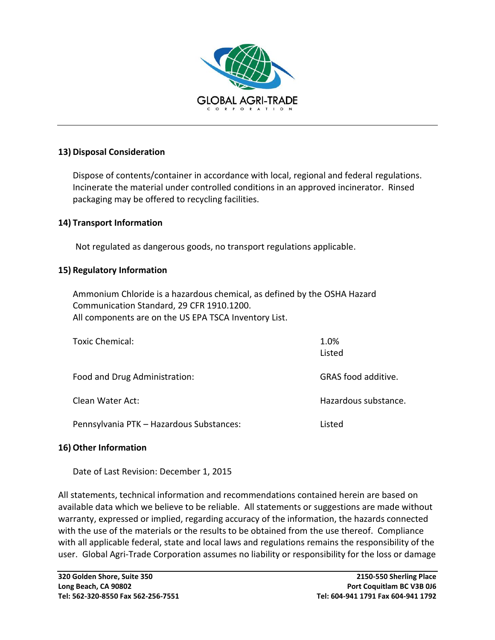

### **13) Disposal Consideration**

Dispose of contents/container in accordance with local, regional and federal regulations. Incinerate the material under controlled conditions in an approved incinerator. Rinsed packaging may be offered to recycling facilities.

### **14) Transport Information**

Not regulated as dangerous goods, no transport regulations applicable.

### **15) Regulatory Information**

Ammonium Chloride is a hazardous chemical, as defined by the OSHA Hazard Communication Standard, 29 CFR 1910.1200. All components are on the US EPA TSCA Inventory List.

| Toxic Chemical:                          | 1.0%<br>Listed       |
|------------------------------------------|----------------------|
| Food and Drug Administration:            | GRAS food additive.  |
| Clean Water Act:                         | Hazardous substance. |
| Pennsylvania PTK - Hazardous Substances: | Listed               |

### **16)Other Information**

Date of Last Revision: December 1, 2015

All statements, technical information and recommendations contained herein are based on available data which we believe to be reliable. All statements or suggestions are made without warranty, expressed or implied, regarding accuracy of the information, the hazards connected with the use of the materials or the results to be obtained from the use thereof. Compliance with all applicable federal, state and local laws and regulations remains the responsibility of the user. Global Agri-Trade Corporation assumes no liability or responsibility for the loss or damage